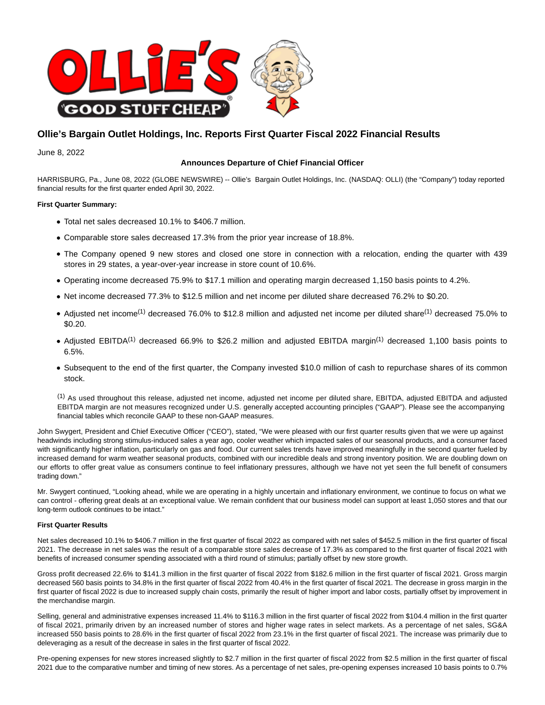

# **Ollie's Bargain Outlet Holdings, Inc. Reports First Quarter Fiscal 2022 Financial Results**

June 8, 2022

## **Announces Departure of Chief Financial Officer**

HARRISBURG, Pa., June 08, 2022 (GLOBE NEWSWIRE) -- Ollie's Bargain Outlet Holdings, Inc. (NASDAQ: OLLI) (the "Company") today reported financial results for the first quarter ended April 30, 2022.

## **First Quarter Summary:**

- Total net sales decreased 10.1% to \$406.7 million.
- Comparable store sales decreased 17.3% from the prior year increase of 18.8%.
- The Company opened 9 new stores and closed one store in connection with a relocation, ending the quarter with 439 stores in 29 states, a year-over-year increase in store count of 10.6%.
- Operating income decreased 75.9% to \$17.1 million and operating margin decreased 1,150 basis points to 4.2%.
- Net income decreased 77.3% to \$12.5 million and net income per diluted share decreased 76.2% to \$0.20.
- Adjusted net income<sup>(1)</sup> decreased 76.0% to \$12.8 million and adjusted net income per diluted share<sup>(1)</sup> decreased 75.0% to \$0.20.
- Adjusted EBITDA<sup>(1)</sup> decreased 66.9% to \$26.2 million and adjusted EBITDA margin<sup>(1)</sup> decreased 1,100 basis points to 6.5%.
- Subsequent to the end of the first quarter, the Company invested \$10.0 million of cash to repurchase shares of its common stock.

(1) As used throughout this release, adjusted net income, adjusted net income per diluted share, EBITDA, adjusted EBITDA and adjusted EBITDA margin are not measures recognized under U.S. generally accepted accounting principles ("GAAP"). Please see the accompanying financial tables which reconcile GAAP to these non-GAAP measures.

John Swygert, President and Chief Executive Officer ("CEO"), stated, "We were pleased with our first quarter results given that we were up against headwinds including strong stimulus-induced sales a year ago, cooler weather which impacted sales of our seasonal products, and a consumer faced with significantly higher inflation, particularly on gas and food. Our current sales trends have improved meaningfully in the second quarter fueled by increased demand for warm weather seasonal products, combined with our incredible deals and strong inventory position. We are doubling down on our efforts to offer great value as consumers continue to feel inflationary pressures, although we have not yet seen the full benefit of consumers trading down."

Mr. Swygert continued, "Looking ahead, while we are operating in a highly uncertain and inflationary environment, we continue to focus on what we can control - offering great deals at an exceptional value. We remain confident that our business model can support at least 1,050 stores and that our long-term outlook continues to be intact."

### **First Quarter Results**

Net sales decreased 10.1% to \$406.7 million in the first quarter of fiscal 2022 as compared with net sales of \$452.5 million in the first quarter of fiscal 2021. The decrease in net sales was the result of a comparable store sales decrease of 17.3% as compared to the first quarter of fiscal 2021 with benefits of increased consumer spending associated with a third round of stimulus; partially offset by new store growth.

Gross profit decreased 22.6% to \$141.3 million in the first quarter of fiscal 2022 from \$182.6 million in the first quarter of fiscal 2021. Gross margin decreased 560 basis points to 34.8% in the first quarter of fiscal 2022 from 40.4% in the first quarter of fiscal 2021. The decrease in gross margin in the first quarter of fiscal 2022 is due to increased supply chain costs, primarily the result of higher import and labor costs, partially offset by improvement in the merchandise margin.

Selling, general and administrative expenses increased 11.4% to \$116.3 million in the first quarter of fiscal 2022 from \$104.4 million in the first quarter of fiscal 2021, primarily driven by an increased number of stores and higher wage rates in select markets. As a percentage of net sales, SG&A increased 550 basis points to 28.6% in the first quarter of fiscal 2022 from 23.1% in the first quarter of fiscal 2021. The increase was primarily due to deleveraging as a result of the decrease in sales in the first quarter of fiscal 2022.

Pre-opening expenses for new stores increased slightly to \$2.7 million in the first quarter of fiscal 2022 from \$2.5 million in the first quarter of fiscal 2021 due to the comparative number and timing of new stores. As a percentage of net sales, pre-opening expenses increased 10 basis points to 0.7%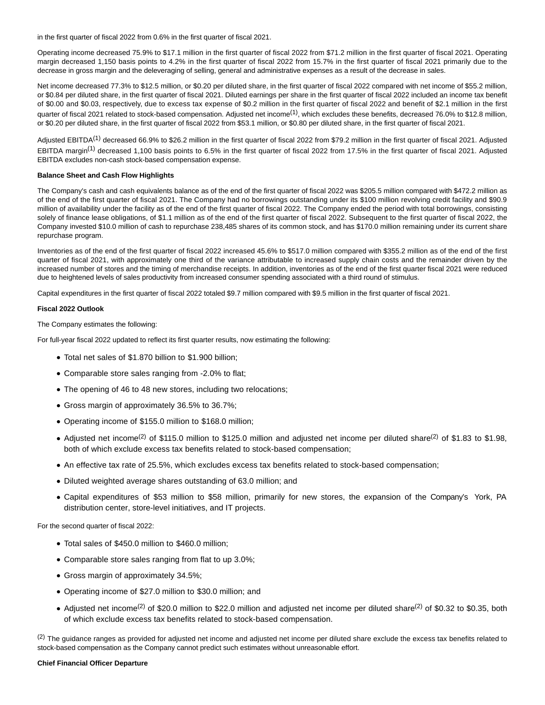in the first quarter of fiscal 2022 from 0.6% in the first quarter of fiscal 2021.

Operating income decreased 75.9% to \$17.1 million in the first quarter of fiscal 2022 from \$71.2 million in the first quarter of fiscal 2021. Operating margin decreased 1,150 basis points to 4.2% in the first quarter of fiscal 2022 from 15.7% in the first quarter of fiscal 2021 primarily due to the decrease in gross margin and the deleveraging of selling, general and administrative expenses as a result of the decrease in sales.

Net income decreased 77.3% to \$12.5 million, or \$0.20 per diluted share, in the first quarter of fiscal 2022 compared with net income of \$55.2 million, or \$0.84 per diluted share, in the first quarter of fiscal 2021. Diluted earnings per share in the first quarter of fiscal 2022 included an income tax benefit of \$0.00 and \$0.03, respectively, due to excess tax expense of \$0.2 million in the first quarter of fiscal 2022 and benefit of \$2.1 million in the first quarter of fiscal 2021 related to stock-based compensation. Adjusted net income<sup>(1)</sup>, which excludes these benefits, decreased 76.0% to \$12.8 million, or \$0.20 per diluted share, in the first quarter of fiscal 2022 from \$53.1 million, or \$0.80 per diluted share, in the first quarter of fiscal 2021.

Adjusted EBITDA<sup>(1)</sup> decreased 66.9% to \$26.2 million in the first quarter of fiscal 2022 from \$79.2 million in the first quarter of fiscal 2021. Adjusted EBITDA margin<sup>(1)</sup> decreased 1,100 basis points to 6.5% in the first quarter of fiscal 2022 from 17.5% in the first quarter of fiscal 2021. Adjusted EBITDA excludes non-cash stock-based compensation expense.

#### **Balance Sheet and Cash Flow Highlights**

The Company's cash and cash equivalents balance as of the end of the first quarter of fiscal 2022 was \$205.5 million compared with \$472.2 million as of the end of the first quarter of fiscal 2021. The Company had no borrowings outstanding under its \$100 million revolving credit facility and \$90.9 million of availability under the facility as of the end of the first quarter of fiscal 2022. The Company ended the period with total borrowings, consisting solely of finance lease obligations, of \$1.1 million as of the end of the first quarter of fiscal 2022. Subsequent to the first quarter of fiscal 2022, the Company invested \$10.0 million of cash to repurchase 238,485 shares of its common stock, and has \$170.0 million remaining under its current share repurchase program.

Inventories as of the end of the first quarter of fiscal 2022 increased 45.6% to \$517.0 million compared with \$355.2 million as of the end of the first quarter of fiscal 2021, with approximately one third of the variance attributable to increased supply chain costs and the remainder driven by the increased number of stores and the timing of merchandise receipts. In addition, inventories as of the end of the first quarter fiscal 2021 were reduced due to heightened levels of sales productivity from increased consumer spending associated with a third round of stimulus.

Capital expenditures in the first quarter of fiscal 2022 totaled \$9.7 million compared with \$9.5 million in the first quarter of fiscal 2021.

### **Fiscal 2022 Outlook**

The Company estimates the following:

For full-year fiscal 2022 updated to reflect its first quarter results, now estimating the following:

- Total net sales of \$1.870 billion to \$1.900 billion;
- Comparable store sales ranging from -2.0% to flat;
- The opening of 46 to 48 new stores, including two relocations;
- Gross margin of approximately 36.5% to 36.7%;
- Operating income of \$155.0 million to \$168.0 million;
- Adjusted net income<sup>(2)</sup> of \$115.0 million to \$125.0 million and adjusted net income per diluted share<sup>(2)</sup> of \$1.83 to \$1.98, both of which exclude excess tax benefits related to stock-based compensation;
- An effective tax rate of 25.5%, which excludes excess tax benefits related to stock-based compensation;
- Diluted weighted average shares outstanding of 63.0 million; and
- Capital expenditures of \$53 million to \$58 million, primarily for new stores, the expansion of the Company's York, PA distribution center, store-level initiatives, and IT projects.

For the second quarter of fiscal 2022:

- Total sales of \$450.0 million to \$460.0 million;
- Comparable store sales ranging from flat to up 3.0%;
- Gross margin of approximately 34.5%;
- Operating income of \$27.0 million to \$30.0 million; and
- Adjusted net income<sup>(2)</sup> of \$20.0 million to \$22.0 million and adjusted net income per diluted share<sup>(2)</sup> of \$0.32 to \$0.35, both of which exclude excess tax benefits related to stock-based compensation.

 $(2)$  The guidance ranges as provided for adjusted net income and adjusted net income per diluted share exclude the excess tax benefits related to stock-based compensation as the Company cannot predict such estimates without unreasonable effort.

#### **Chief Financial Officer Departure**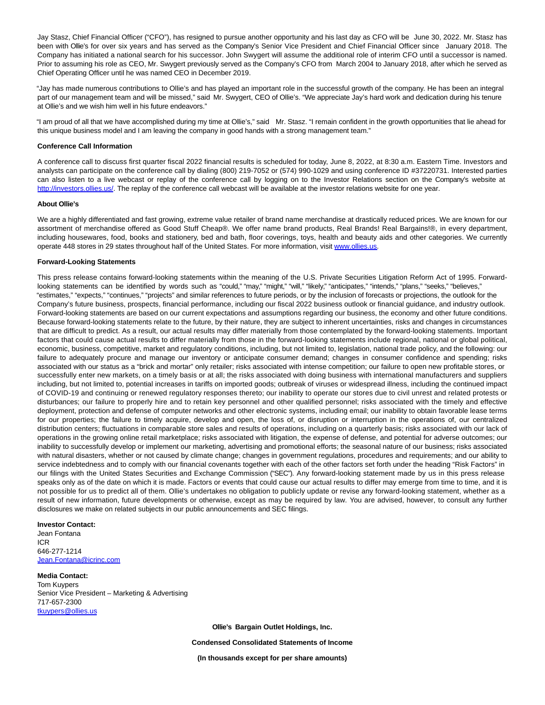Jay Stasz, Chief Financial Officer ("CFO"), has resigned to pursue another opportunity and his last day as CFO will be June 30, 2022. Mr. Stasz has been with Ollie's for over six years and has served as the Company's Senior Vice President and Chief Financial Officer since January 2018. The Company has initiated a national search for his successor. John Swygert will assume the additional role of interim CFO until a successor is named. Prior to assuming his role as CEO, Mr. Swygert previously served as the Company's CFO from March 2004 to January 2018, after which he served as Chief Operating Officer until he was named CEO in December 2019.

"Jay has made numerous contributions to Ollie's and has played an important role in the successful growth of the company. He has been an integral part of our management team and will be missed," said Mr. Swygert, CEO of Ollie's. "We appreciate Jay's hard work and dedication during his tenure at Ollie's and we wish him well in his future endeavors."

"I am proud of all that we have accomplished during my time at Ollie's," said Mr. Stasz. "I remain confident in the growth opportunities that lie ahead for this unique business model and I am leaving the company in good hands with a strong management team."

#### **Conference Call Information**

A conference call to discuss first quarter fiscal 2022 financial results is scheduled for today, June 8, 2022, at 8:30 a.m. Eastern Time. Investors and analysts can participate on the conference call by dialing (800) 219-7052 or (574) 990-1029 and using conference ID #37220731. Interested parties can also listen to a live webcast or replay of the conference call by logging on to the Investor Relations section on the Company's website at [http://investors.ollies.us/.](https://www.globenewswire.com/Tracker?data=pXb1mNiYdv76CuNF4HFp95NBzhFd0gFOSvVk1Pr9xq05Fe0kpbu2XXg30WU-iDVI_vR6MTYke12-cwQHJOshZiW0vpNOObeED7kcHg4mZ68=) The replay of the conference call webcast will be available at the investor relations website for one year.

## **About Ollie's**

We are a highly differentiated and fast growing, extreme value retailer of brand name merchandise at drastically reduced prices. We are known for our assortment of merchandise offered as Good Stuff Cheap®. We offer name brand products, Real Brands! Real Bargains!®, in every department, including housewares, food, books and stationery, bed and bath, floor coverings, toys, health and beauty aids and other categories. We currently operate 448 stores in 29 states throughout half of the United States. For more information, visit [www.ollies.us.](https://www.globenewswire.com/Tracker?data=RtCe8_iAU1VQyQrL3_HC2d02ZlEYJtK9VaPzwIx5Os8MWa7O3fIk76oKS-vG7Jv7YW6cyNytTQAt0lxCgPG4Ig==)

#### **Forward-Looking Statements**

This press release contains forward-looking statements within the meaning of the U.S. Private Securities Litigation Reform Act of 1995. Forwardlooking statements can be identified by words such as "could," "may," "might," "will," "likely," "anticipates," "intends," "plans," "seeks," "believes," "estimates," "expects," "continues," "projects" and similar references to future periods, or by the inclusion of forecasts or projections, the outlook for the Company's future business, prospects, financial performance, including our fiscal 2022 business outlook or financial guidance, and industry outlook. Forward-looking statements are based on our current expectations and assumptions regarding our business, the economy and other future conditions. Because forward-looking statements relate to the future, by their nature, they are subject to inherent uncertainties, risks and changes in circumstances that are difficult to predict. As a result, our actual results may differ materially from those contemplated by the forward-looking statements. Important factors that could cause actual results to differ materially from those in the forward-looking statements include regional, national or global political, economic, business, competitive, market and regulatory conditions, including, but not limited to, legislation, national trade policy, and the following: our failure to adequately procure and manage our inventory or anticipate consumer demand; changes in consumer confidence and spending; risks associated with our status as a "brick and mortar" only retailer; risks associated with intense competition; our failure to open new profitable stores, or successfully enter new markets, on a timely basis or at all; the risks associated with doing business with international manufacturers and suppliers including, but not limited to, potential increases in tariffs on imported goods; outbreak of viruses or widespread illness, including the continued impact of COVID-19 and continuing or renewed regulatory responses thereto; our inability to operate our stores due to civil unrest and related protests or disturbances; our failure to properly hire and to retain key personnel and other qualified personnel; risks associated with the timely and effective deployment, protection and defense of computer networks and other electronic systems, including email; our inability to obtain favorable lease terms for our properties; the failure to timely acquire, develop and open, the loss of, or disruption or interruption in the operations of, our centralized distribution centers; fluctuations in comparable store sales and results of operations, including on a quarterly basis; risks associated with our lack of operations in the growing online retail marketplace; risks associated with litigation, the expense of defense, and potential for adverse outcomes; our inability to successfully develop or implement our marketing, advertising and promotional efforts; the seasonal nature of our business; risks associated with natural disasters, whether or not caused by climate change; changes in government regulations, procedures and requirements; and our ability to service indebtedness and to comply with our financial covenants together with each of the other factors set forth under the heading "Risk Factors" in our filings with the United States Securities and Exchange Commission ("SEC"). Any forward-looking statement made by us in this press release speaks only as of the date on which it is made. Factors or events that could cause our actual results to differ may emerge from time to time, and it is not possible for us to predict all of them. Ollie's undertakes no obligation to publicly update or revise any forward-looking statement, whether as a result of new information, future developments or otherwise, except as may be required by law. You are advised, however, to consult any further disclosures we make on related subjects in our public announcements and SEC filings.

#### **Investor Contact:**

Jean Fontana ICR 646-277-1214 [Jean.Fontana@icrinc.com](https://www.globenewswire.com/Tracker?data=sfej7iouoP5BaGdjgVGYowt05jRRGD-c4IZ7u3ZeAvBPXq80SmVBDMLNtAF2FDRiahpvIseqUW1RxNiOMtUGhw8t6pUwsUFiZzuf_3LM6GE=)

**Media Contact:** Tom Kuypers Senior Vice President – Marketing & Advertising 717-657-2300 [tkuypers@ollies.us](https://www.globenewswire.com/Tracker?data=TWNHCbGLlHSa3di6qM3i6kVXtSk-lZ_3bSvflcNJ-1GzoTSOKiiTGwMys9Xf9OjCQswFS8YlNhyHnz20qh88fvzQnaMsNEJFqEA6wSCFkPU=)

**Ollie's Bargain Outlet Holdings, Inc.**

**Condensed Consolidated Statements of Income**

**(In thousands except for per share amounts)**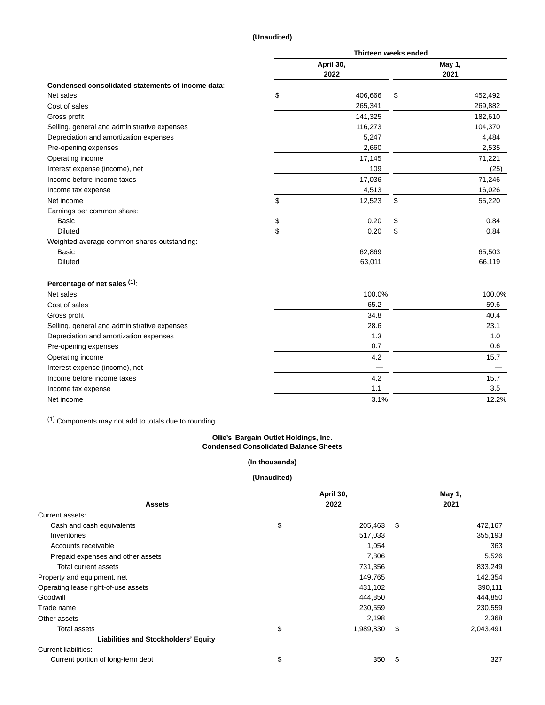# **(Unaudited)**

|                                                   | Thirteen weeks ended |                   |                |         |
|---------------------------------------------------|----------------------|-------------------|----------------|---------|
|                                                   |                      | April 30,<br>2022 | May 1,<br>2021 |         |
| Condensed consolidated statements of income data: |                      |                   |                |         |
| Net sales                                         | \$                   | 406,666           | \$             | 452,492 |
| Cost of sales                                     |                      | 265,341           |                | 269,882 |
| Gross profit                                      |                      | 141,325           |                | 182,610 |
| Selling, general and administrative expenses      |                      | 116,273           |                | 104,370 |
| Depreciation and amortization expenses            |                      | 5,247             |                | 4,484   |
| Pre-opening expenses                              |                      | 2,660             |                | 2,535   |
| Operating income                                  |                      | 17,145            |                | 71,221  |
| Interest expense (income), net                    |                      | 109               |                | (25)    |
| Income before income taxes                        |                      | 17,036            |                | 71,246  |
| Income tax expense                                |                      | 4,513             |                | 16,026  |
| Net income                                        | \$                   | 12,523            | \$             | 55,220  |
| Earnings per common share:                        |                      |                   |                |         |
| Basic                                             | \$                   | 0.20              | \$             | 0.84    |
| <b>Diluted</b>                                    | \$                   | 0.20              | \$             | 0.84    |
| Weighted average common shares outstanding:       |                      |                   |                |         |
| Basic                                             |                      | 62,869            |                | 65,503  |
| <b>Diluted</b>                                    |                      | 63,011            |                | 66,119  |
| Percentage of net sales (1).                      |                      |                   |                |         |
| Net sales                                         |                      | 100.0%            |                | 100.0%  |
| Cost of sales                                     |                      | 65.2              |                | 59.6    |
| Gross profit                                      |                      | 34.8              |                | 40.4    |
| Selling, general and administrative expenses      |                      | 28.6              |                | 23.1    |
| Depreciation and amortization expenses            |                      | 1.3               |                | 1.0     |
| Pre-opening expenses                              |                      | 0.7               |                | 0.6     |
| Operating income                                  |                      | 4.2               |                | 15.7    |
| Interest expense (income), net                    |                      |                   |                |         |
| Income before income taxes                        |                      | 4.2               |                | 15.7    |
| Income tax expense                                |                      | 1.1               |                | 3.5     |
| Net income                                        |                      | 3.1%              |                | 12.2%   |

(1) Components may not add to totals due to rounding.

#### **Ollie's Bargain Outlet Holdings, Inc. Condensed Consolidated Balance Sheets**

# **(In thousands)**

# **(Unaudited)**

|                                             | April 30, |           |    | May 1,    |  |
|---------------------------------------------|-----------|-----------|----|-----------|--|
| <b>Assets</b>                               |           | 2022      |    | 2021      |  |
| Current assets:                             |           |           |    |           |  |
| Cash and cash equivalents                   | \$        | 205,463   | \$ | 472,167   |  |
| Inventories                                 |           | 517,033   |    | 355,193   |  |
| Accounts receivable                         |           | 1,054     |    | 363       |  |
| Prepaid expenses and other assets           |           | 7,806     |    | 5,526     |  |
| Total current assets                        |           | 731,356   |    | 833,249   |  |
| Property and equipment, net                 |           | 149,765   |    | 142,354   |  |
| Operating lease right-of-use assets         |           | 431,102   |    | 390,111   |  |
| Goodwill                                    |           | 444,850   |    | 444,850   |  |
| Trade name                                  |           | 230,559   |    | 230,559   |  |
| Other assets                                |           | 2,198     |    | 2,368     |  |
| <b>Total assets</b>                         | \$        | 1,989,830 | \$ | 2,043,491 |  |
| <b>Liabilities and Stockholders' Equity</b> |           |           |    |           |  |
| Current liabilities:                        |           |           |    |           |  |
| Current portion of long-term debt           | \$        | 350       | \$ | 327       |  |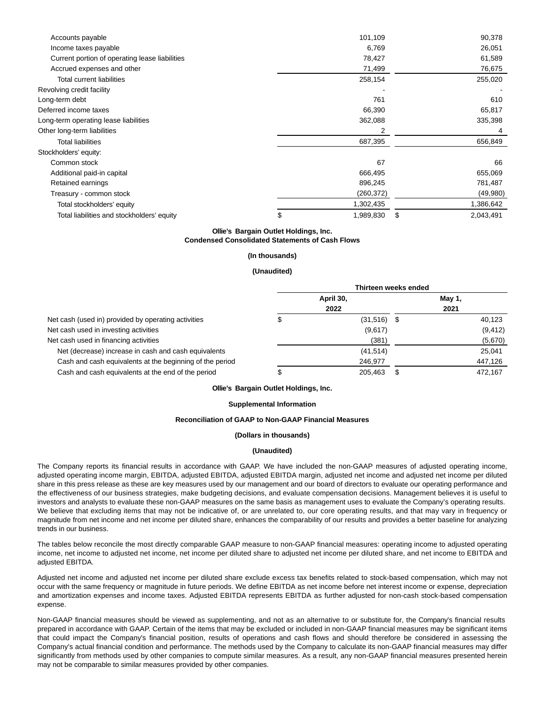| Accounts payable                               | 101,109         | 90,378          |
|------------------------------------------------|-----------------|-----------------|
| Income taxes payable                           | 6,769           | 26,051          |
| Current portion of operating lease liabilities | 78,427          | 61,589          |
| Accrued expenses and other                     | 71,499          | 76,675          |
| Total current liabilities                      | 258,154         | 255,020         |
| Revolving credit facility                      |                 |                 |
| Long-term debt                                 | 761             | 610             |
| Deferred income taxes                          | 66,390          | 65,817          |
| Long-term operating lease liabilities          | 362,088         | 335,398         |
| Other long-term liabilities                    | 2               | 4               |
| <b>Total liabilities</b>                       | 687,395         | 656,849         |
| Stockholders' equity:                          |                 |                 |
| Common stock                                   | 67              | 66              |
| Additional paid-in capital                     | 666,495         | 655,069         |
| Retained earnings                              | 896,245         | 781,487         |
| Treasury - common stock                        | (260, 372)      | (49,980)        |
| Total stockholders' equity                     | 1,302,435       | 1,386,642       |
| Total liabilities and stockholders' equity     | \$<br>1,989,830 | \$<br>2,043,491 |

#### **Ollie's Bargain Outlet Holdings, Inc. Condensed Consolidated Statements of Cash Flows**

### **(In thousands)**

#### **(Unaudited)**

|                                                          | Thirteen weeks ended |               |  |          |  |
|----------------------------------------------------------|----------------------|---------------|--|----------|--|
|                                                          |                      | April 30,     |  | May 1,   |  |
|                                                          |                      | 2022          |  | 2021     |  |
| Net cash (used in) provided by operating activities      |                      | $(31,516)$ \$ |  | 40,123   |  |
| Net cash used in investing activities                    |                      | (9,617)       |  | (9, 412) |  |
| Net cash used in financing activities                    |                      | (381)         |  | (5,670)  |  |
| Net (decrease) increase in cash and cash equivalents     |                      | (41, 514)     |  | 25,041   |  |
| Cash and cash equivalents at the beginning of the period |                      | 246,977       |  | 447,126  |  |
| Cash and cash equivalents at the end of the period       |                      | 205,463       |  | 472.167  |  |

**Ollie's Bargain Outlet Holdings, Inc.**

#### **Supplemental Information**

## **Reconciliation of GAAP to Non-GAAP Financial Measures**

### **(Dollars in thousands)**

### **(Unaudited)**

The Company reports its financial results in accordance with GAAP. We have included the non-GAAP measures of adjusted operating income, adjusted operating income margin, EBITDA, adjusted EBITDA, adjusted EBITDA margin, adjusted net income and adjusted net income per diluted share in this press release as these are key measures used by our management and our board of directors to evaluate our operating performance and the effectiveness of our business strategies, make budgeting decisions, and evaluate compensation decisions. Management believes it is useful to investors and analysts to evaluate these non-GAAP measures on the same basis as management uses to evaluate the Company's operating results. We believe that excluding items that may not be indicative of, or are unrelated to, our core operating results, and that may vary in frequency or magnitude from net income and net income per diluted share, enhances the comparability of our results and provides a better baseline for analyzing trends in our business.

The tables below reconcile the most directly comparable GAAP measure to non-GAAP financial measures: operating income to adjusted operating income, net income to adjusted net income, net income per diluted share to adjusted net income per diluted share, and net income to EBITDA and adjusted EBITDA.

Adjusted net income and adjusted net income per diluted share exclude excess tax benefits related to stock-based compensation, which may not occur with the same frequency or magnitude in future periods. We define EBITDA as net income before net interest income or expense, depreciation and amortization expenses and income taxes. Adjusted EBITDA represents EBITDA as further adjusted for non-cash stock-based compensation expense.

Non-GAAP financial measures should be viewed as supplementing, and not as an alternative to or substitute for, the Company's financial results prepared in accordance with GAAP. Certain of the items that may be excluded or included in non-GAAP financial measures may be significant items that could impact the Company's financial position, results of operations and cash flows and should therefore be considered in assessing the Company's actual financial condition and performance. The methods used by the Company to calculate its non-GAAP financial measures may differ significantly from methods used by other companies to compute similar measures. As a result, any non-GAAP financial measures presented herein may not be comparable to similar measures provided by other companies.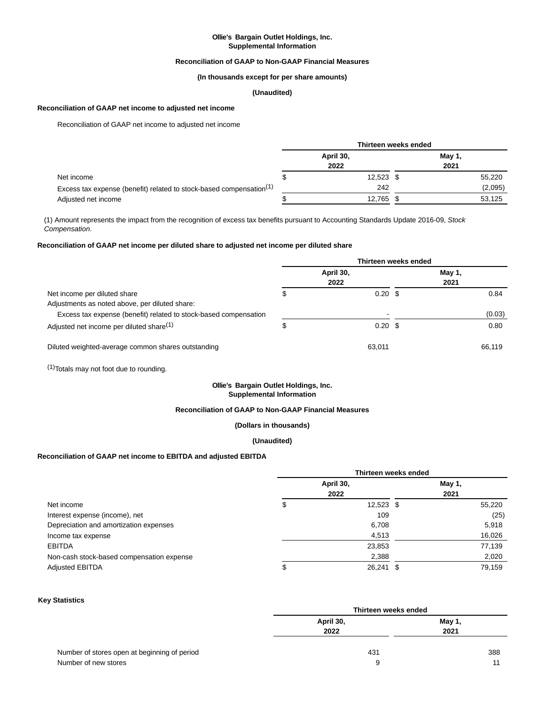### **Ollie's Bargain Outlet Holdings, Inc. Supplemental Information**

#### **Reconciliation of GAAP to Non-GAAP Financial Measures**

#### **(In thousands except for per share amounts)**

# **(Unaudited)**

#### **Reconciliation of GAAP net income to adjusted net income**

Reconciliation of GAAP net income to adjusted net income

|                                                                                 | Thirteen weeks ended |             |                |         |
|---------------------------------------------------------------------------------|----------------------|-------------|----------------|---------|
|                                                                                 | April 30,<br>2022    |             | May 1,<br>2021 |         |
| Net income                                                                      |                      | $12,523$ \$ |                | 55,220  |
| Excess tax expense (benefit) related to stock-based compensation <sup>(1)</sup> |                      | 242         |                | (2,095) |
| Adjusted net income                                                             |                      | 12,765 \$   |                | 53.125  |

(1) Amount represents the impact from the recognition of excess tax benefits pursuant to Accounting Standards Update 2016-09, Stock Compensation.

# **Reconciliation of GAAP net income per diluted share to adjusted net income per diluted share**

|                                                                  | Thirteen weeks ended |                   |  |        |
|------------------------------------------------------------------|----------------------|-------------------|--|--------|
|                                                                  | April 30,            |                   |  | May 1, |
|                                                                  |                      | 2022              |  | 2021   |
| Net income per diluted share                                     |                      | 0.20 <sup>5</sup> |  | 0.84   |
| Adjustments as noted above, per diluted share:                   |                      |                   |  |        |
| Excess tax expense (benefit) related to stock-based compensation |                      | -                 |  | (0.03) |
| Adjusted net income per diluted share <sup>(1)</sup>             | Φ                    | $0.20$ \$         |  | 0.80   |
| Diluted weighted-average common shares outstanding               |                      | 63,011            |  | 66.119 |

(1)Totals may not foot due to rounding.

### **Ollie's Bargain Outlet Holdings, Inc. Supplemental Information**

### **Reconciliation of GAAP to Non-GAAP Financial Measures**

#### **(Dollars in thousands)**

# **(Unaudited)**

## **Reconciliation of GAAP net income to EBITDA and adjusted EBITDA**

|                                           | Thirteen weeks ended |             |        |        |
|-------------------------------------------|----------------------|-------------|--------|--------|
|                                           |                      | April 30,   | May 1, |        |
|                                           |                      | 2022        | 2021   |        |
| Net income                                | \$                   | $12,523$ \$ |        | 55,220 |
| Interest expense (income), net            |                      | 109         |        | (25)   |
| Depreciation and amortization expenses    |                      | 6,708       |        | 5,918  |
| Income tax expense                        |                      | 4,513       |        | 16,026 |
| <b>EBITDA</b>                             |                      | 23,853      |        | 77,139 |
| Non-cash stock-based compensation expense |                      | 2,388       |        | 2,020  |
| <b>Adjusted EBITDA</b>                    |                      | 26,241 \$   |        | 79.159 |

#### **Key Statistics**

|                                              | Thirteen weeks ended |        |  |  |
|----------------------------------------------|----------------------|--------|--|--|
|                                              | April 30,            | May 1, |  |  |
|                                              | 2022                 | 2021   |  |  |
|                                              |                      |        |  |  |
| Number of stores open at beginning of period | 431                  | 388    |  |  |
| Number of new stores                         | 9                    | 11     |  |  |